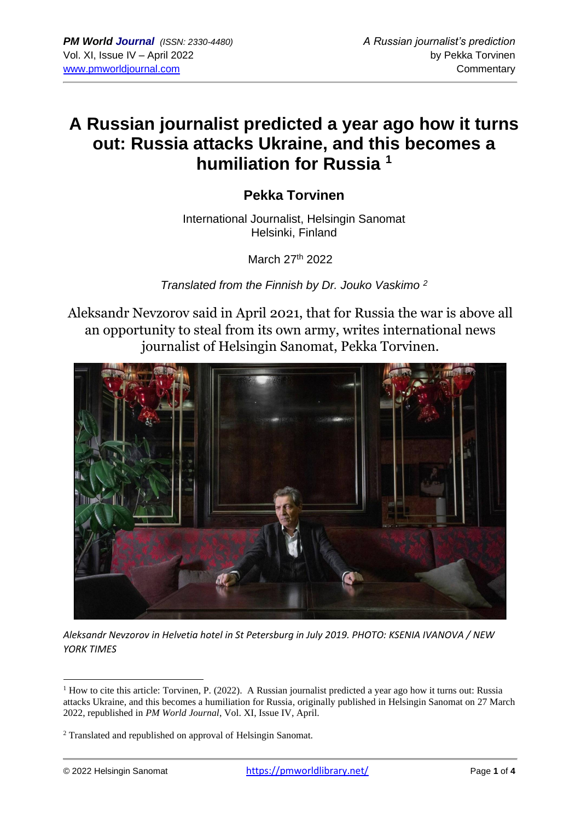## **A Russian journalist predicted a year ago how it turns out: Russia attacks Ukraine, and this becomes a humiliation for Russia <sup>1</sup>**

## **Pekka Torvinen**

International Journalist, Helsingin Sanomat Helsinki, Finland

March 27th 2022

*Translated from the Finnish by Dr. Jouko Vaskimo <sup>2</sup>*

Aleksandr Nevzorov said in April 2021, that for Russia the war is above all an opportunity to steal from its own army, writes international news journalist of Helsingin Sanomat, Pekka Torvinen.



*Aleksandr Nevzorov in Helvetia hotel in St Petersburg in July 2019. PHOTO: KSENIA IVANOVA / NEW YORK TIMES*

<sup>&</sup>lt;sup>1</sup> How to cite this article: Torvinen, P. (2022). A Russian journalist predicted a year ago how it turns out: Russia attacks Ukraine, and this becomes a humiliation for Russia, originally published in Helsingin Sanomat on 27 March 2022, republished in *PM World Journal*, Vol. XI, Issue IV, April.

<sup>&</sup>lt;sup>2</sup> Translated and republished on approval of Helsingin Sanomat.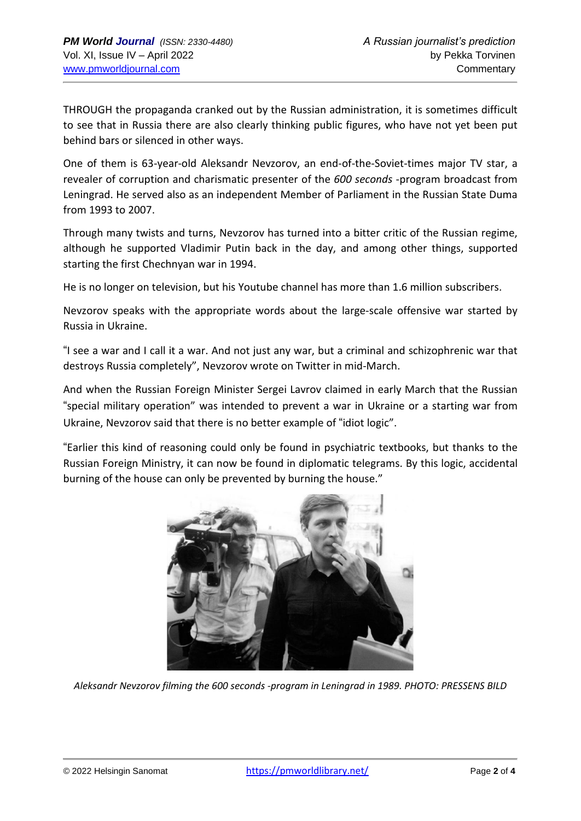THROUGH the propaganda cranked out by the Russian administration, it is sometimes difficult to see that in Russia there are also clearly thinking public figures, who have not yet been put behind bars or silenced in other ways.

One of them is 63-year-old Aleksandr Nevzorov, an end-of-the-Soviet-times major TV star, a revealer of corruption and charismatic presenter of the *600 seconds* -program broadcast from Leningrad. He served also as an independent Member of Parliament in the Russian State Duma from 1993 to 2007.

Through many twists and turns, Nevzorov has turned into a bitter critic of the Russian regime, although he supported Vladimir Putin back in the day, and among other things, supported starting the first Chechnyan war in 1994.

He is no longer on television, but his Youtube channel has more than 1.6 million subscribers.

Nevzorov speaks with the appropriate words about the large-scale offensive war started by Russia in Ukraine.

"I see a war and I call it a war. And not just any war, but a criminal and schizophrenic war that destroys Russia completely", Nevzorov wrote on Twitter in mid-March.

And when the Russian Foreign Minister Sergei Lavrov claimed in early March that the Russian "special military operation" was intended to prevent a war in Ukraine or a starting war from Ukraine, Nevzorov said that there is no better example of "idiot logic".

"Earlier this kind of reasoning could only be found in psychiatric textbooks, but thanks to the Russian Foreign Ministry, it can now be found in diplomatic telegrams. By this logic, accidental burning of the house can only be prevented by burning the house."



*Aleksandr Nevzorov filming the 600 seconds -program in Leningrad in 1989. PHOTO: PRESSENS BILD*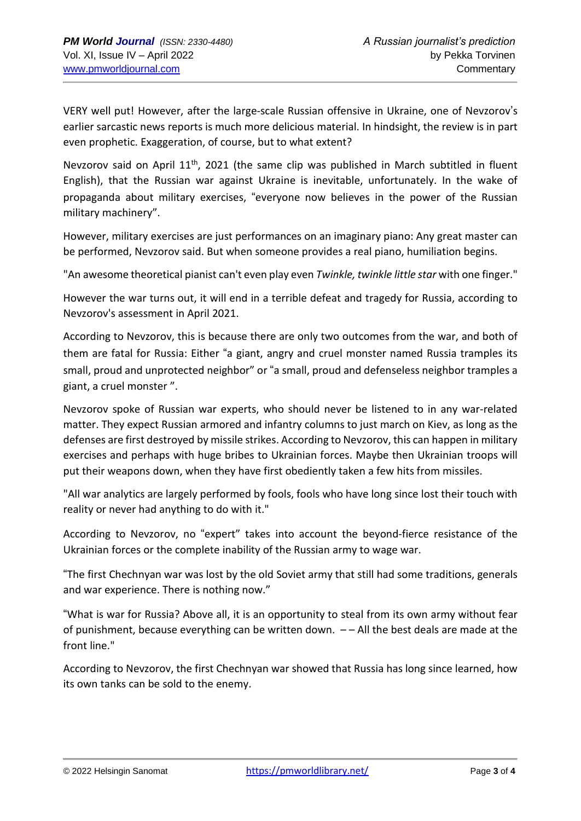VERY well put! However, after the large-scale Russian offensive in Ukraine, one of Nevzorov's earlier sarcastic news reports is much more delicious material. In hindsight, the review is in part even prophetic. Exaggeration, of course, but to what extent?

Nevzorov said on April 11<sup>th</sup>, 2021 (the same clip was published in March subtitled in fluent English), that the Russian war against Ukraine is inevitable, unfortunately. In the wake of propaganda about military exercises, "everyone now believes in the power of the Russian military machinery".

However, military exercises are just performances on an imaginary piano: Any great master can be performed, Nevzorov said. But when someone provides a real piano, humiliation begins.

"An awesome theoretical pianist can't even play even *Twinkle, twinkle little star* with one finger."

However the war turns out, it will end in a terrible defeat and tragedy for Russia, according to Nevzorov's assessment in April 2021.

According to Nevzorov, this is because there are only two outcomes from the war, and both of them are fatal for Russia: Either "a giant, angry and cruel monster named Russia tramples its small, proud and unprotected neighbor" or "a small, proud and defenseless neighbor tramples a giant, a cruel monster ".

Nevzorov spoke of Russian war experts, who should never be listened to in any war-related matter. They expect Russian armored and infantry columns to just march on Kiev, as long as the defenses are first destroyed by missile strikes. According to Nevzorov, this can happen in military exercises and perhaps with huge bribes to Ukrainian forces. Maybe then Ukrainian troops will put their weapons down, when they have first obediently taken a few hits from missiles.

"All war analytics are largely performed by fools, fools who have long since lost their touch with reality or never had anything to do with it."

According to Nevzorov, no "expert" takes into account the beyond-fierce resistance of the Ukrainian forces or the complete inability of the Russian army to wage war.

"The first Chechnyan war was lost by the old Soviet army that still had some traditions, generals and war experience. There is nothing now."

"What is war for Russia? Above all, it is an opportunity to steal from its own army without fear of punishment, because everything can be written down. – – All the best deals are made at the front line."

According to Nevzorov, the first Chechnyan war showed that Russia has long since learned, how its own tanks can be sold to the enemy.